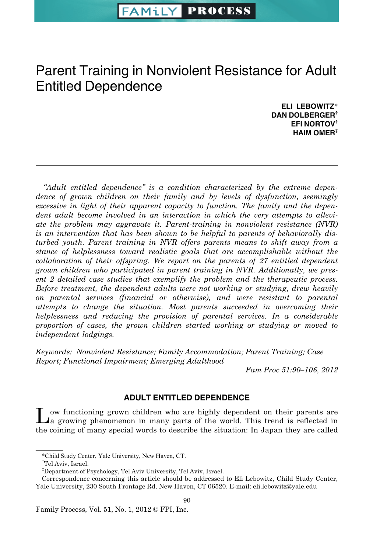# Parent Training in Nonviolent Resistance for Adult Entitled Dependence

ELI LEBOWITZ\* DAN DOLBERGER† EFI NORTOV† HAIM OMER‡

"Adult entitled dependence" is a condition characterized by the extreme dependence of grown children on their family and by levels of dysfunction, seemingly excessive in light of their apparent capacity to function. The family and the dependent adult become involved in an interaction in which the very attempts to alleviate the problem may aggravate it. Parent-training in nonviolent resistance (NVR) is an intervention that has been shown to be helpful to parents of behaviorally disturbed youth. Parent training in NVR offers parents means to shift away from a stance of helplessness toward realistic goals that are accomplishable without the collaboration of their offspring. We report on the parents of 27 entitled dependent grown children who participated in parent training in NVR. Additionally, we present 2 detailed case studies that exemplify the problem and the therapeutic process. Before treatment, the dependent adults were not working or studying, drew heavily on parental services (financial or otherwise), and were resistant to parental attempts to change the situation. Most parents succeeded in overcoming their helplessness and reducing the provision of parental services. In a considerable proportion of cases, the grown children started working or studying or moved to independent lodgings.

Keywords: Nonviolent Resistance; Family Accommodation; Parent Training; Case Report; Functional Impairment; Emerging Adulthood

Fam Proc 51:90–106, 2012

# ADULT ENTITLED DEPENDENCE

ow functioning grown children who are highly dependent on their parents are a growing phenomenon in many parts of the world. This trend is reflected in the coining of many special words to describe the situation: In Japan they are called

<sup>\*</sup>Child Study Center, Yale University, New Haven, CT.

<sup>†</sup> Tel Aviv, Israel.

<sup>‡</sup> Department of Psychology, Tel Aviv University, Tel Aviv, Israel.

Correspondence concerning this article should be addressed to Eli Lebowitz, Child Study Center, Yale University, 230 South Frontage Rd, New Haven, CT 06520. E-mail: eli.lebowitz@yale.edu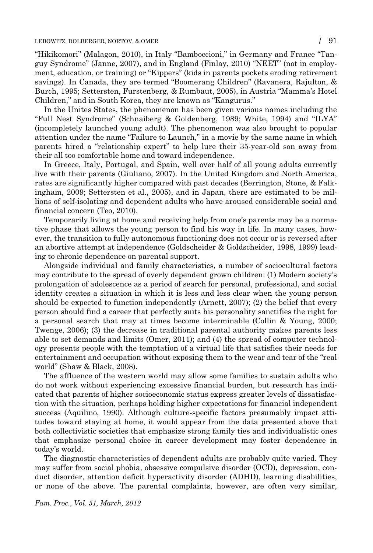"Hikikomori" (Malagon, 2010), in Italy "Bamboccioni," in Germany and France "Tanguy Syndrome" (Janne, 2007), and in England (Finlay, 2010) "NEET" (not in employment, education, or training) or "Kippers" (kids in parents pockets eroding retirement savings). In Canada, they are termed "Boomerang Children" (Ravanera, Rajulton, & Burch, 1995; Settersten, Furstenberg, & Rumbaut, 2005), in Austria "Mamma's Hotel Children," and in South Korea, they are known as "Kangurus."

In the Unites States, the phenomenon has been given various names including the "Full Nest Syndrome" (Schnaiberg & Goldenberg, 1989; White, 1994) and "ILYA" (incompletely launched young adult). The phenomenon was also brought to popular attention under the name "Failure to Launch," in a movie by the same name in which parents hired a "relationship expert" to help lure their 35-year-old son away from their all too comfortable home and toward independence.

In Greece, Italy, Portugal, and Spain, well over half of all young adults currently live with their parents (Giuliano, 2007). In the United Kingdom and North America, rates are significantly higher compared with past decades (Berrington, Stone, & Falkingham, 2009; Settersten et al., 2005), and in Japan, there are estimated to be millions of self-isolating and dependent adults who have aroused considerable social and financial concern (Teo, 2010).

Temporarily living at home and receiving help from one's parents may be a normative phase that allows the young person to find his way in life. In many cases, however, the transition to fully autonomous functioning does not occur or is reversed after an abortive attempt at independence (Goldscheider & Goldscheider, 1998, 1999) leading to chronic dependence on parental support.

Alongside individual and family characteristics, a number of sociocultural factors may contribute to the spread of overly dependent grown children: (1) Modern society's prolongation of adolescence as a period of search for personal, professional, and social identity creates a situation in which it is less and less clear when the young person should be expected to function independently (Arnett, 2007); (2) the belief that every person should find a career that perfectly suits his personality sanctifies the right for a personal search that may at times become interminable (Collin & Young, 2000; Twenge, 2006); (3) the decrease in traditional parental authority makes parents less able to set demands and limits (Omer, 2011); and (4) the spread of computer technology presents people with the temptation of a virtual life that satisfies their needs for entertainment and occupation without exposing them to the wear and tear of the "real world" (Shaw & Black, 2008).

The affluence of the western world may allow some families to sustain adults who do not work without experiencing excessive financial burden, but research has indicated that parents of higher socioeconomic status express greater levels of dissatisfaction with the situation, perhaps holding higher expectations for financial independent success (Aquilino, 1990). Although culture-specific factors presumably impact attitudes toward staying at home, it would appear from the data presented above that both collectivistic societies that emphasize strong family ties and individualistic ones that emphasize personal choice in career development may foster dependence in today's world.

The diagnostic characteristics of dependent adults are probably quite varied. They may suffer from social phobia, obsessive compulsive disorder (OCD), depression, conduct disorder, attention deficit hyperactivity disorder (ADHD), learning disabilities, or none of the above. The parental complaints, however, are often very similar,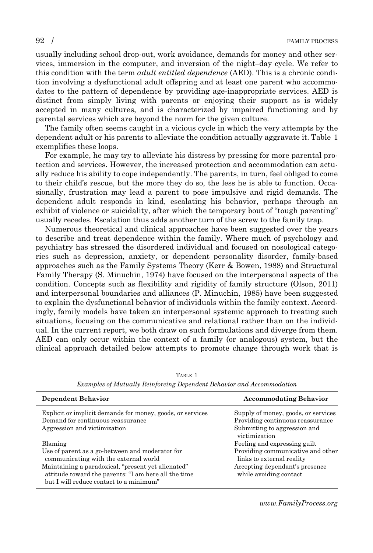usually including school drop-out, work avoidance, demands for money and other services, immersion in the computer, and inversion of the night–day cycle. We refer to this condition with the term *adult entitled dependence* (AED). This is a chronic condition involving a dysfunctional adult offspring and at least one parent who accommodates to the pattern of dependence by providing age-inappropriate services. AED is distinct from simply living with parents or enjoying their support as is widely accepted in many cultures, and is characterized by impaired functioning and by parental services which are beyond the norm for the given culture.

The family often seems caught in a vicious cycle in which the very attempts by the dependent adult or his parents to alleviate the condition actually aggravate it. Table 1 exemplifies these loops.

For example, he may try to alleviate his distress by pressing for more parental protection and services. However, the increased protection and accommodation can actually reduce his ability to cope independently. The parents, in turn, feel obliged to come to their child's rescue, but the more they do so, the less he is able to function. Occasionally, frustration may lead a parent to pose impulsive and rigid demands. The dependent adult responds in kind, escalating his behavior, perhaps through an exhibit of violence or suicidality, after which the temporary bout of "tough parenting" usually recedes. Escalation thus adds another turn of the screw to the family trap.

Numerous theoretical and clinical approaches have been suggested over the years to describe and treat dependence within the family. Where much of psychology and psychiatry has stressed the disordered individual and focused on nosological categories such as depression, anxiety, or dependent personality disorder, family-based approaches such as the Family Systems Theory (Kerr & Bowen, 1988) and Structural Family Therapy (S. Minuchin, 1974) have focused on the interpersonal aspects of the condition. Concepts such as flexibility and rigidity of family structure (Olson, 2011) and interpersonal boundaries and alliances (P. Minuchin, 1985) have been suggested to explain the dysfunctional behavior of individuals within the family context. Accordingly, family models have taken an interpersonal systemic approach to treating such situations, focusing on the communicative and relational rather than on the individual. In the current report, we both draw on such formulations and diverge from them. AED can only occur within the context of a family (or analogous) system, but the clinical approach detailed below attempts to promote change through work that is

| <b>Dependent Behavior</b>                                                                                                                                                                                                                                    | <b>Accommodating Behavior</b>                                                                                                                              |
|--------------------------------------------------------------------------------------------------------------------------------------------------------------------------------------------------------------------------------------------------------------|------------------------------------------------------------------------------------------------------------------------------------------------------------|
| Explicit or implicit demands for money, goods, or services<br>Demand for continuous reassurance<br>Aggression and victimization                                                                                                                              | Supply of money, goods, or services<br>Providing continuous reassurance<br>Submitting to aggression and<br>victimization                                   |
| Blaming<br>Use of parent as a go-between and moderator for<br>communicating with the external world<br>Maintaining a paradoxical, "present yet alienated"<br>attitude toward the parents: "I am here all the time<br>but I will reduce contact to a minimum" | Feeling and expressing guilt<br>Providing communicative and other<br>links to external reality<br>Accepting dependant's presence<br>while avoiding contact |

TABLE 1 Examples of Mutually Reinforcing Dependent Behavior and Accommodation

www.FamilyProcess.org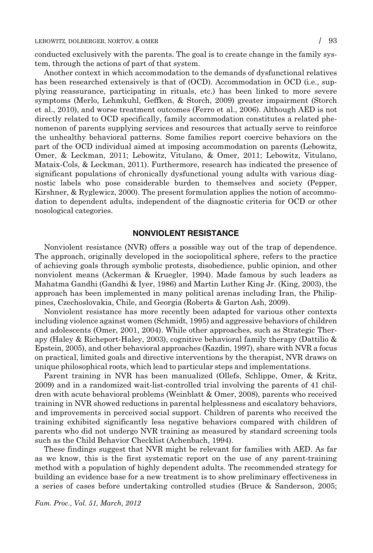conducted exclusively with the parents. The goal is to create change in the family system, through the actions of part of that system.

Another context in which accommodation to the demands of dysfunctional relatives has been researched extensively is that of (OCD). Accommodation in OCD (i.e., supplying reassurance, participating in rituals, etc.) has been linked to more severe symptoms (Merlo, Lehmkuhl, Geffken, & Storch, 2009) greater impairment (Storch et al., 2010), and worse treatment outcomes (Ferro et al., 2006). Although AED is not directly related to OCD specifically, family accommodation constitutes a related phenomenon of parents supplying services and resources that actually serve to reinforce the unhealthy behavioral patterns. Some families report coercive behaviors on the part of the OCD individual aimed at imposing accommodation on parents (Lebowitz, Omer, & Leckman, 2011; Lebowitz, Vitulano, & Omer, 2011; Lebowitz, Vitulano, Mataix-Cols, & Leckman, 2011). Furthermore, research has indicated the presence of significant populations of chronically dysfunctional young adults with various diagnostic labels who pose considerable burden to themselves and society (Pepper, Kirshner, & Ryglewicz, 2000). The present formulation applies the notion of accommodation to dependent adults, independent of the diagnostic criteria for OCD or other nosological categories.

# NONVIOLENT RESISTANCE

Nonviolent resistance (NVR) offers a possible way out of the trap of dependence. The approach, originally developed in the sociopolitical sphere, refers to the practice of achieving goals through symbolic protests, disobedience, public opinion, and other nonviolent means (Ackerman & Kruegler, 1994). Made famous by such leaders as Mahatma Gandhi (Gandhi & Iyer, 1986) and Martin Luther King Jr. (King, 2003), the approach has been implemented in many political arenas including Iran, the Philippines, Czechoslovakia, Chile, and Georgia (Roberts & Garton Ash, 2009).

Nonviolent resistance has more recently been adapted for various other contexts including violence against women (Schmidt, 1995) and aggressive behaviors of children and adolescents (Omer, 2001, 2004). While other approaches, such as Strategic Therapy (Haley & Richeport-Haley, 2003), cognitive behavioral family therapy (Dattilio & Epstein, 2005), and other behavioral approaches (Kazdin, 1997), share with NVR a focus on practical, limited goals and directive interventions by the therapist, NVR draws on unique philosophical roots, which lead to particular steps and implementations.

Parent training in NVR has been manualized (Ollefs, Schlippe, Omer, & Kritz, 2009) and in a randomized wait-list-controlled trial involving the parents of 41 children with acute behavioral problems (Weinblatt & Omer, 2008), parents who received training in NVR showed reductions in parental helplessness and escalatory behaviors, and improvements in perceived social support. Children of parents who received the training exhibited significantly less negative behaviors compared with children of parents who did not undergo NVR training as measured by standard screening tools such as the Child Behavior Checklist (Achenbach, 1994).

These findings suggest that NVR might be relevant for families with AED. As far as we know, this is the first systematic report on the use of any parent-training method with a population of highly dependent adults. The recommended strategy for building an evidence base for a new treatment is to show preliminary effectiveness in a series of cases before undertaking controlled studies (Bruce & Sanderson, 2005;

Fam. Proc., Vol. 51, March, 2012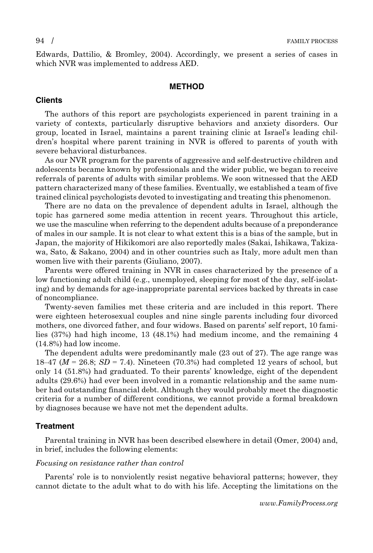Edwards, Dattilio, & Bromley, 2004). Accordingly, we present a series of cases in which NVR was implemented to address AED.

# METHOD

# Clients

The authors of this report are psychologists experienced in parent training in a variety of contexts, particularly disruptive behaviors and anxiety disorders. Our group, located in Israel, maintains a parent training clinic at Israel's leading children's hospital where parent training in NVR is offered to parents of youth with severe behavioral disturbances.

As our NVR program for the parents of aggressive and self-destructive children and adolescents became known by professionals and the wider public, we began to receive referrals of parents of adults with similar problems. We soon witnessed that the AED pattern characterized many of these families. Eventually, we established a team of five trained clinical psychologists devoted to investigating and treating this phenomenon.

There are no data on the prevalence of dependent adults in Israel, although the topic has garnered some media attention in recent years. Throughout this article, we use the masculine when referring to the dependent adults because of a preponderance of males in our sample. It is not clear to what extent this is a bias of the sample, but in Japan, the majority of Hikikomori are also reportedly males (Sakai, Ishikawa, Takizawa, Sato, & Sakano, 2004) and in other countries such as Italy, more adult men than women live with their parents (Giuliano, 2007).

Parents were offered training in NVR in cases characterized by the presence of a low functioning adult child (e.g., unemployed, sleeping for most of the day, self-isolating) and by demands for age-inappropriate parental services backed by threats in case of noncompliance.

Twenty-seven families met these criteria and are included in this report. There were eighteen heterosexual couples and nine single parents including four divorced mothers, one divorced father, and four widows. Based on parents' self report, 10 families (37%) had high income, 13 (48.1%) had medium income, and the remaining 4 (14.8%) had low income.

The dependent adults were predominantly male (23 out of 27). The age range was 18–47 ( $M = 26.8$ ;  $SD = 7.4$ ). Nineteen (70.3%) had completed 12 years of school, but only 14 (51.8%) had graduated. To their parents' knowledge, eight of the dependent adults (29.6%) had ever been involved in a romantic relationship and the same number had outstanding financial debt. Although they would probably meet the diagnostic criteria for a number of different conditions, we cannot provide a formal breakdown by diagnoses because we have not met the dependent adults.

# Treatment

Parental training in NVR has been described elsewhere in detail (Omer, 2004) and, in brief, includes the following elements:

### Focusing on resistance rather than control

Parents' role is to nonviolently resist negative behavioral patterns; however, they cannot dictate to the adult what to do with his life. Accepting the limitations on the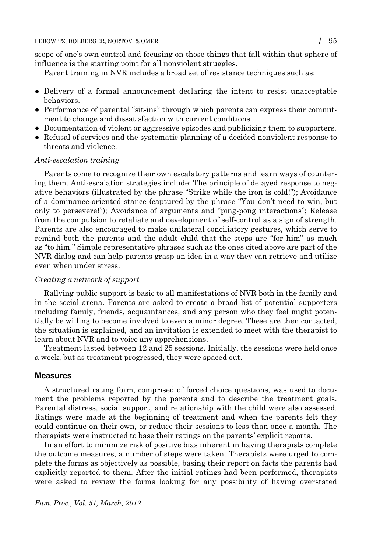scope of one's own control and focusing on those things that fall within that sphere of influence is the starting point for all nonviolent struggles.

Parent training in NVR includes a broad set of resistance techniques such as:

- Delivery of a formal announcement declaring the intent to resist unacceptable behaviors.
- Performance of parental "sit-ins" through which parents can express their commitment to change and dissatisfaction with current conditions.
- Documentation of violent or aggressive episodes and publicizing them to supporters.
- Refusal of services and the systematic planning of a decided nonviolent response to threats and violence.

# Anti-escalation training

Parents come to recognize their own escalatory patterns and learn ways of countering them. Anti-escalation strategies include: The principle of delayed response to negative behaviors (illustrated by the phrase "Strike while the iron is cold!"); Avoidance of a dominance-oriented stance (captured by the phrase "You don't need to win, but only to persevere!"); Avoidance of arguments and "ping-pong interactions"; Release from the compulsion to retaliate and development of self-control as a sign of strength. Parents are also encouraged to make unilateral conciliatory gestures, which serve to remind both the parents and the adult child that the steps are "for him" as much as "to him." Simple representative phrases such as the ones cited above are part of the NVR dialog and can help parents grasp an idea in a way they can retrieve and utilize even when under stress.

# Creating a network of support

Rallying public support is basic to all manifestations of NVR both in the family and in the social arena. Parents are asked to create a broad list of potential supporters including family, friends, acquaintances, and any person who they feel might potentially be willing to become involved to even a minor degree. These are then contacted, the situation is explained, and an invitation is extended to meet with the therapist to learn about NVR and to voice any apprehensions.

Treatment lasted between 12 and 25 sessions. Initially, the sessions were held once a week, but as treatment progressed, they were spaced out.

## Measures

A structured rating form, comprised of forced choice questions, was used to document the problems reported by the parents and to describe the treatment goals. Parental distress, social support, and relationship with the child were also assessed. Ratings were made at the beginning of treatment and when the parents felt they could continue on their own, or reduce their sessions to less than once a month. The therapists were instructed to base their ratings on the parents' explicit reports.

In an effort to minimize risk of positive bias inherent in having therapists complete the outcome measures, a number of steps were taken. Therapists were urged to complete the forms as objectively as possible, basing their report on facts the parents had explicitly reported to them. After the initial ratings had been performed, therapists were asked to review the forms looking for any possibility of having overstated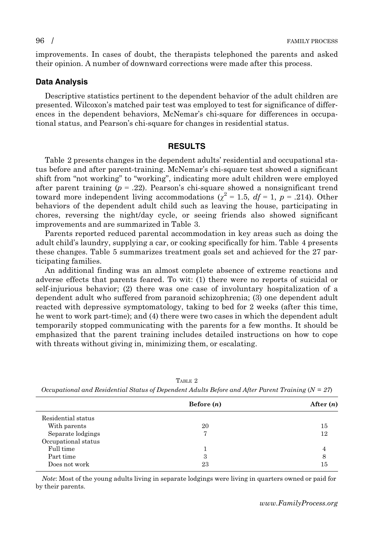improvements. In cases of doubt, the therapists telephoned the parents and asked their opinion. A number of downward corrections were made after this process.

# Data Analysis

Descriptive statistics pertinent to the dependent behavior of the adult children are presented. Wilcoxon's matched pair test was employed to test for significance of differences in the dependent behaviors, McNemar's chi-square for differences in occupational status, and Pearson's chi-square for changes in residential status.

# RESULTS

Table 2 presents changes in the dependent adults' residential and occupational status before and after parent-training. McNemar's chi-square test showed a significant shift from "not working" to "working", indicating more adult children were employed after parent training  $(p = .22)$ . Pearson's chi-square showed a nonsignificant trend toward more independent living accommodations ( $\chi^2 = 1.5$ ,  $df = 1$ ,  $p = .214$ ). Other behaviors of the dependent adult child such as leaving the house, participating in chores, reversing the night/day cycle, or seeing friends also showed significant improvements and are summarized in Table 3.

Parents reported reduced parental accommodation in key areas such as doing the adult child's laundry, supplying a car, or cooking specifically for him. Table 4 presents these changes. Table 5 summarizes treatment goals set and achieved for the 27 participating families.

An additional finding was an almost complete absence of extreme reactions and adverse effects that parents feared. To wit: (1) there were no reports of suicidal or self-injurious behavior; (2) there was one case of involuntary hospitalization of a dependent adult who suffered from paranoid schizophrenia; (3) one dependent adult reacted with depressive symptomatology, taking to bed for 2 weeks (after this time, he went to work part-time); and (4) there were two cases in which the dependent adult temporarily stopped communicating with the parents for a few months. It should be emphasized that the parent training includes detailed instructions on how to cope with threats without giving in, minimizing them, or escalating.

|                     | Before $(n)$ | After $(n)$ |
|---------------------|--------------|-------------|
| Residential status  |              |             |
| With parents        | 20           | 15          |
| Separate lodgings   |              | 12          |
| Occupational status |              |             |
| Full time           |              |             |
| Part time           | 3            | 8           |
| Does not work       | 23           | 15          |

TABLE 2 Occupational and Residential Status of Dependent Adults Before and After Parent Training  $(N = 27)$ 

Note: Most of the young adults living in separate lodgings were living in quarters owned or paid for by their parents.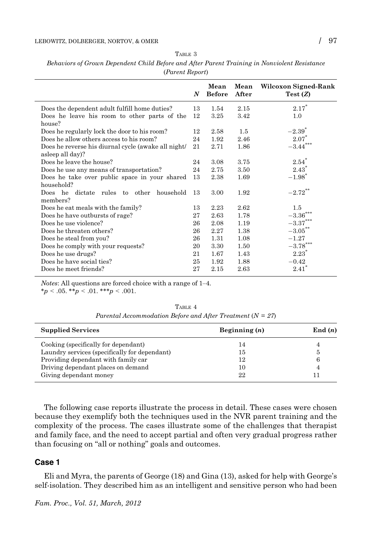Behaviors of Grown Dependent Child Before and After Parent Training in Nonviolent Resistance (Parent Report)

|                                                                         | N  | Mean<br><b>Before</b> | Mean<br>After | Wilcoxon Signed-Rank<br>Test (Z) |
|-------------------------------------------------------------------------|----|-----------------------|---------------|----------------------------------|
| Does the dependent adult fulfill home duties?                           | 13 | 1.54                  | 2.15          | $2.17*$                          |
| Does he leave his room to other parts of the<br>house?                  | 12 | 3.25                  | 3.42          | 1.0                              |
| Does he regularly lock the door to his room?                            | 12 | 2.58                  | 1.5           | $-2.39*$                         |
| Does he allow others access to his room?                                | 24 | 1.92                  | 2.46          | $2.07*$                          |
| Does he reverse his diurnal cycle (awake all night)<br>asleep all day)? | 21 | 2.71                  | 1.86          | $\textbf{-3.44}^{\ast\ast\ast}$  |
| Does he leave the house?                                                | 24 | 3.08                  | 3.75          | $2.54$ <sup>*</sup>              |
| Does he use any means of transportation?                                | 24 | 2.75                  | 3.50          | $2.43*$                          |
| Does he take over public space in your shared<br>household?             | 13 | 2.38                  | 1.69          | $-1.98$ <sup>*</sup>             |
| Does he dictate rules to other household<br>members?                    | 13 | 3.00                  | 1.92          | $-2.72***$                       |
| Does he eat meals with the family?                                      | 13 | 2.23                  | 2.62          | 1.5                              |
| Does he have outbursts of rage?                                         | 27 | 2.63                  | 1.78          | $-3.36^{\ast\ast\ast}$           |
| Does he use violence?                                                   | 26 | 2.08                  | 1.19          | $-3.37***$                       |
| Does he threaten others?                                                | 26 | 2.27                  | 1.38          | $-3.05***$                       |
| Does he steal from you?                                                 | 26 | 1.31                  | 1.08          | $-1.27$                          |
| Does he comply with your requests?                                      | 20 | 3.30                  | 1.50          | $-3.78***$                       |
| Does he use drugs?                                                      | 21 | 1.67                  | 1.43          | $2.23^*$                         |
| Does he have social ties?                                               | 25 | 1.92                  | 1.88          | $-0.42$                          |
| Does he meet friends?                                                   | 27 | 2.15                  | 2.63          | $2.41*$                          |

Notes: All questions are forced choice with a range of 1–4.  $*<sub>p</sub> < .05. **<sub>p</sub> < .01. ***<sub>p</sub> < .001.$ 

| TABLE 4                                                        |  |
|----------------------------------------------------------------|--|
| Parental Accommodation Before and After Treatment ( $N = 27$ ) |  |

| <b>Supplied Services</b>                      | Beginning $(n)$ | End (n) |
|-----------------------------------------------|-----------------|---------|
| Cooking (specifically for dependant)          | 14              | 4       |
| Laundry services (specifically for dependant) | 15              | 5       |
| Providing dependant with family car           | 12              | 6       |
| Driving dependant places on demand            | 10              | 4       |
| Giving dependant money                        | 22              |         |

The following case reports illustrate the process in detail. These cases were chosen because they exemplify both the techniques used in the NVR parent training and the complexity of the process. The cases illustrate some of the challenges that therapist and family face, and the need to accept partial and often very gradual progress rather than focusing on "all or nothing" goals and outcomes.

# Case 1

Eli and Myra, the parents of George (18) and Gina (13), asked for help with George's self-isolation. They described him as an intelligent and sensitive person who had been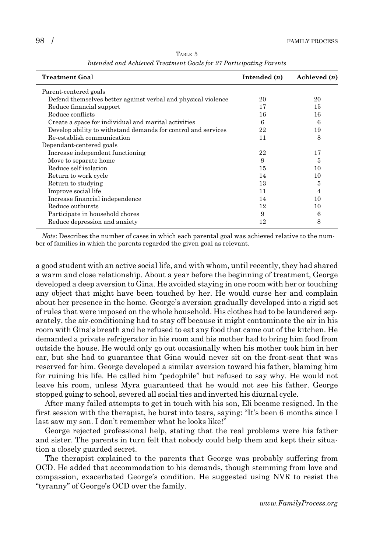| <b>Treatment Goal</b>                                         | Intended $(n)$ | Achieved (n) |
|---------------------------------------------------------------|----------------|--------------|
| Parent-centered goals                                         |                |              |
| Defend themselves better against verbal and physical violence | 20             | 20           |
| Reduce financial support                                      | 17             | 15           |
| Reduce conflicts                                              | 16             | 16           |
| Create a space for individual and marital activities          | 6              | 6            |
| Develop ability to withstand demands for control and services | 22             | 19           |
| Re-establish communication                                    | 11             | 8            |
| Dependant-centered goals                                      |                |              |
| Increase independent functioning                              | 22             | 17           |
| Move to separate home                                         | 9              | 5            |
| Reduce self isolation                                         | 15             | 10           |
| Return to work cycle                                          | 14             | 10           |
| Return to studying                                            | 13             | 5            |
| Improve social life                                           | 11             | 4            |
| Increase financial independence                               | 14             | 10           |
| Reduce outbursts                                              | 12             | 10           |
| Participate in household chores                               | 9              | 6            |
| Reduce depression and anxiety                                 | 12             | 8            |

TABLE 5 Intended and Achieved Treatment Goals for 27 Participating Parents

Note: Describes the number of cases in which each parental goal was achieved relative to the number of families in which the parents regarded the given goal as relevant.

a good student with an active social life, and with whom, until recently, they had shared a warm and close relationship. About a year before the beginning of treatment, George developed a deep aversion to Gina. He avoided staying in one room with her or touching any object that might have been touched by her. He would curse her and complain about her presence in the home. George's aversion gradually developed into a rigid set of rules that were imposed on the whole household. His clothes had to be laundered separately, the air-conditioning had to stay off because it might contaminate the air in his room with Gina's breath and he refused to eat any food that came out of the kitchen. He demanded a private refrigerator in his room and his mother had to bring him food from outside the house. He would only go out occasionally when his mother took him in her car, but she had to guarantee that Gina would never sit on the front-seat that was reserved for him. George developed a similar aversion toward his father, blaming him for ruining his life. He called him "pedophile" but refused to say why. He would not leave his room, unless Myra guaranteed that he would not see his father. George stopped going to school, severed all social ties and inverted his diurnal cycle.

After many failed attempts to get in touch with his son, Eli became resigned. In the first session with the therapist, he burst into tears, saying: "It's been 6 months since I last saw my son. I don't remember what he looks like!"

George rejected professional help, stating that the real problems were his father and sister. The parents in turn felt that nobody could help them and kept their situation a closely guarded secret.

The therapist explained to the parents that George was probably suffering from OCD. He added that accommodation to his demands, though stemming from love and compassion, exacerbated George's condition. He suggested using NVR to resist the "tyranny" of George's OCD over the family.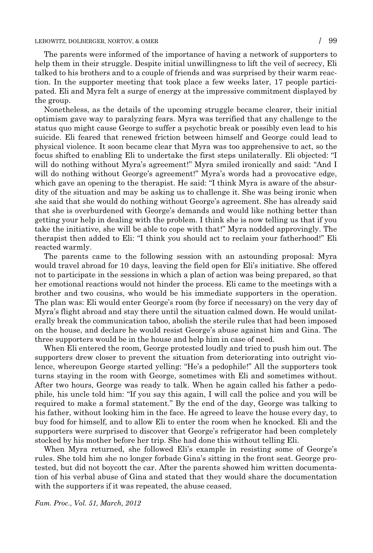The parents were informed of the importance of having a network of supporters to help them in their struggle. Despite initial unwillingness to lift the veil of secrecy, Eli talked to his brothers and to a couple of friends and was surprised by their warm reaction. In the supporter meeting that took place a few weeks later, 17 people participated. Eli and Myra felt a surge of energy at the impressive commitment displayed by the group.

Nonetheless, as the details of the upcoming struggle became clearer, their initial optimism gave way to paralyzing fears. Myra was terrified that any challenge to the status quo might cause George to suffer a psychotic break or possibly even lead to his suicide. Eli feared that renewed friction between himself and George could lead to physical violence. It soon became clear that Myra was too apprehensive to act, so the focus shifted to enabling Eli to undertake the first steps unilaterally. Eli objected: "I will do nothing without Myra's agreement!" Myra smiled ironically and said: "And I will do nothing without George's agreement!" Myra's words had a provocative edge, which gave an opening to the therapist. He said: "I think Myra is aware of the absurdity of the situation and may be asking us to challenge it. She was being ironic when she said that she would do nothing without George's agreement. She has already said that she is overburdened with George's demands and would like nothing better than getting your help in dealing with the problem. I think she is now telling us that if you take the initiative, she will be able to cope with that!" Myra nodded approvingly. The therapist then added to Eli: "I think you should act to reclaim your fatherhood!" Eli reacted warmly.

The parents came to the following session with an astounding proposal: Myra would travel abroad for 10 days, leaving the field open for Eli's initiative. She offered not to participate in the sessions in which a plan of action was being prepared, so that her emotional reactions would not hinder the process. Eli came to the meetings with a brother and two cousins, who would be his immediate supporters in the operation. The plan was: Eli would enter George's room (by force if necessary) on the very day of Myra's flight abroad and stay there until the situation calmed down. He would unilaterally break the communication taboo, abolish the sterile rules that had been imposed on the house, and declare he would resist George's abuse against him and Gina. The three supporters would be in the house and help him in case of need.

When Eli entered the room, George protested loudly and tried to push him out. The supporters drew closer to prevent the situation from deteriorating into outright violence, whereupon George started yelling: "He's a pedophile!" All the supporters took turns staying in the room with George, sometimes with Eli and sometimes without. After two hours, George was ready to talk. When he again called his father a pedophile, his uncle told him: "If you say this again, I will call the police and you will be required to make a formal statement." By the end of the day, George was talking to his father, without looking him in the face. He agreed to leave the house every day, to buy food for himself, and to allow Eli to enter the room when he knocked. Eli and the supporters were surprised to discover that George's refrigerator had been completely stocked by his mother before her trip. She had done this without telling Eli.

When Myra returned, she followed Eli's example in resisting some of George's rules. She told him she no longer forbade Gina's sitting in the front seat. George protested, but did not boycott the car. After the parents showed him written documentation of his verbal abuse of Gina and stated that they would share the documentation with the supporters if it was repeated, the abuse ceased.

Fam. Proc., Vol. 51, March, 2012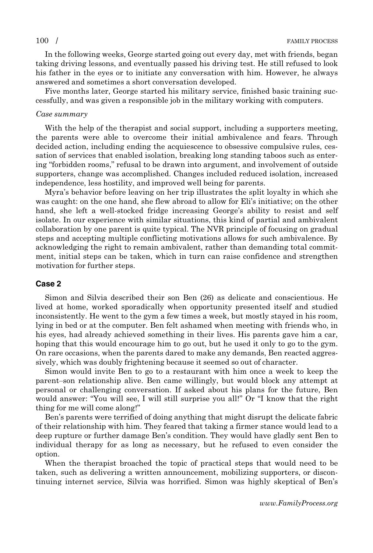### 100 / FAMILY PROCESS

In the following weeks, George started going out every day, met with friends, began taking driving lessons, and eventually passed his driving test. He still refused to look his father in the eyes or to initiate any conversation with him. However, he always answered and sometimes a short conversation developed.

Five months later, George started his military service, finished basic training successfully, and was given a responsible job in the military working with computers.

### Case summary

With the help of the therapist and social support, including a supporters meeting, the parents were able to overcome their initial ambivalence and fears. Through decided action, including ending the acquiescence to obsessive compulsive rules, cessation of services that enabled isolation, breaking long standing taboos such as entering "forbidden rooms," refusal to be drawn into argument, and involvement of outside supporters, change was accomplished. Changes included reduced isolation, increased independence, less hostility, and improved well being for parents.

Myra's behavior before leaving on her trip illustrates the split loyalty in which she was caught: on the one hand, she flew abroad to allow for Eli's initiative; on the other hand, she left a well-stocked fridge increasing George's ability to resist and self isolate. In our experience with similar situations, this kind of partial and ambivalent collaboration by one parent is quite typical. The NVR principle of focusing on gradual steps and accepting multiple conflicting motivations allows for such ambivalence. By acknowledging the right to remain ambivalent, rather than demanding total commitment, initial steps can be taken, which in turn can raise confidence and strengthen motivation for further steps.

# Case 2

Simon and Silvia described their son Ben (26) as delicate and conscientious. He lived at home, worked sporadically when opportunity presented itself and studied inconsistently. He went to the gym a few times a week, but mostly stayed in his room, lying in bed or at the computer. Ben felt ashamed when meeting with friends who, in his eyes, had already achieved something in their lives. His parents gave him a car, hoping that this would encourage him to go out, but he used it only to go to the gym. On rare occasions, when the parents dared to make any demands, Ben reacted aggressively, which was doubly frightening because it seemed so out of character.

Simon would invite Ben to go to a restaurant with him once a week to keep the parent–son relationship alive. Ben came willingly, but would block any attempt at personal or challenging conversation. If asked about his plans for the future, Ben would answer: "You will see, I will still surprise you all!" Or "I know that the right thing for me will come along!"

Ben's parents were terrified of doing anything that might disrupt the delicate fabric of their relationship with him. They feared that taking a firmer stance would lead to a deep rupture or further damage Ben's condition. They would have gladly sent Ben to individual therapy for as long as necessary, but he refused to even consider the option.

When the therapist broached the topic of practical steps that would need to be taken, such as delivering a written announcement, mobilizing supporters, or discontinuing internet service, Silvia was horrified. Simon was highly skeptical of Ben's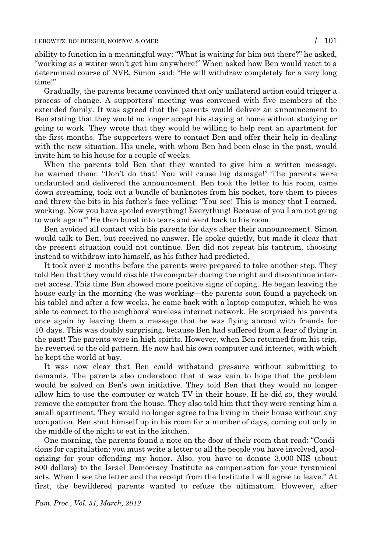ability to function in a meaningful way: "What is waiting for him out there?" he asked, "working as a waiter won't get him anywhere!" When asked how Ben would react to a determined course of NVR, Simon said: "He will withdraw completely for a very long time!"

Gradually, the parents became convinced that only unilateral action could trigger a process of change. A supporters' meeting was convened with five members of the extended family. It was agreed that the parents would deliver an announcement to Ben stating that they would no longer accept his staying at home without studying or going to work. They wrote that they would be willing to help rent an apartment for the first months. The supporters were to contact Ben and offer their help in dealing with the new situation. His uncle, with whom Ben had been close in the past, would invite him to his house for a couple of weeks.

When the parents told Ben that they wanted to give him a written message, he warned them: "Don't do that! You will cause big damage!" The parents were undaunted and delivered the announcement. Ben took the letter to his room, came down screaming, took out a bundle of banknotes from his pocket, tore them to pieces and threw the bits in his father's face yelling: "You see! This is money that I earned, working. Now you have spoiled everything! Everything! Because of you I am not going to work again!" He then burst into tears and went back to his room.

Ben avoided all contact with his parents for days after their announcement. Simon would talk to Ben, but received no answer. He spoke quietly, but made it clear that the present situation could not continue. Ben did not repeat his tantrum, choosing instead to withdraw into himself, as his father had predicted.

It took over 2 months before the parents were prepared to take another step. They told Ben that they would disable the computer during the night and discontinue internet access. This time Ben showed more positive signs of coping. He began leaving the house early in the morning (he was working—the parents soon found a paycheck on his table) and after a few weeks, he came back with a laptop computer, which he was able to connect to the neighbors' wireless internet network. He surprised his parents once again by leaving them a message that he was flying abroad with friends for 10 days. This was doubly surprising, because Ben had suffered from a fear of flying in the past! The parents were in high spirits. However, when Ben returned from his trip, he reverted to the old pattern. He now had his own computer and internet, with which he kept the world at bay.

It was now clear that Ben could withstand pressure without submitting to demands. The parents also understood that it was vain to hope that the problem would be solved on Ben's own initiative. They told Ben that they would no longer allow him to use the computer or watch TV in their house. If he did so, they would remove the computer from the house. They also told him that they were renting him a small apartment. They would no longer agree to his living in their house without any occupation. Ben shut himself up in his room for a number of days, coming out only in the middle of the night to eat in the kitchen.

One morning, the parents found a note on the door of their room that read: "Conditions for capitulation: you must write a letter to all the people you have involved, apologizing for your offending my honor. Also, you have to donate 3,000 NIS (about 800 dollars) to the Israel Democracy Institute as compensation for your tyrannical acts. When I see the letter and the receipt from the Institute I will agree to leave." At first, the bewildered parents wanted to refuse the ultimatum. However, after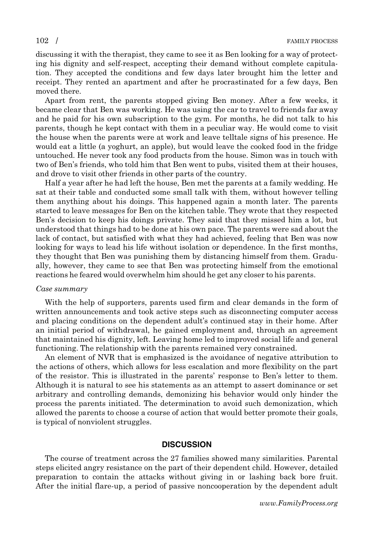discussing it with the therapist, they came to see it as Ben looking for a way of protecting his dignity and self-respect, accepting their demand without complete capitulation. They accepted the conditions and few days later brought him the letter and receipt. They rented an apartment and after he procrastinated for a few days, Ben moved there.

Apart from rent, the parents stopped giving Ben money. After a few weeks, it became clear that Ben was working. He was using the car to travel to friends far away and he paid for his own subscription to the gym. For months, he did not talk to his parents, though he kept contact with them in a peculiar way. He would come to visit the house when the parents were at work and leave telltale signs of his presence. He would eat a little (a yoghurt, an apple), but would leave the cooked food in the fridge untouched. He never took any food products from the house. Simon was in touch with two of Ben's friends, who told him that Ben went to pubs, visited them at their houses, and drove to visit other friends in other parts of the country.

Half a year after he had left the house, Ben met the parents at a family wedding. He sat at their table and conducted some small talk with them, without however telling them anything about his doings. This happened again a month later. The parents started to leave messages for Ben on the kitchen table. They wrote that they respected Ben's decision to keep his doings private. They said that they missed him a lot, but understood that things had to be done at his own pace. The parents were sad about the lack of contact, but satisfied with what they had achieved, feeling that Ben was now looking for ways to lead his life without isolation or dependence. In the first months, they thought that Ben was punishing them by distancing himself from them. Gradually, however, they came to see that Ben was protecting himself from the emotional reactions he feared would overwhelm him should he get any closer to his parents.

#### Case summary

With the help of supporters, parents used firm and clear demands in the form of written announcements and took active steps such as disconnecting computer access and placing conditions on the dependent adult's continued stay in their home. After an initial period of withdrawal, he gained employment and, through an agreement that maintained his dignity, left. Leaving home led to improved social life and general functioning. The relationship with the parents remained very constrained.

An element of NVR that is emphasized is the avoidance of negative attribution to the actions of others, which allows for less escalation and more flexibility on the part of the resistor. This is illustrated in the parents' response to Ben's letter to them. Although it is natural to see his statements as an attempt to assert dominance or set arbitrary and controlling demands, demonizing his behavior would only hinder the process the parents initiated. The determination to avoid such demonization, which allowed the parents to choose a course of action that would better promote their goals, is typical of nonviolent struggles.

# **DISCUSSION**

The course of treatment across the 27 families showed many similarities. Parental steps elicited angry resistance on the part of their dependent child. However, detailed preparation to contain the attacks without giving in or lashing back bore fruit. After the initial flare-up, a period of passive noncooperation by the dependent adult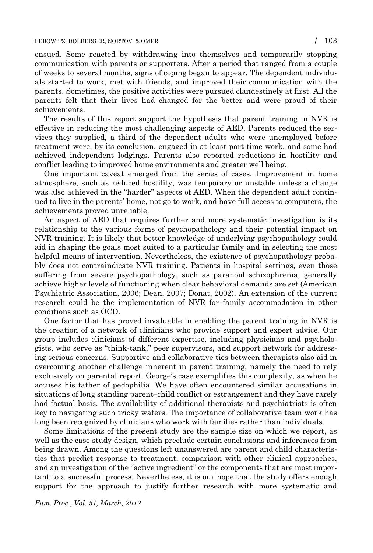ensued. Some reacted by withdrawing into themselves and temporarily stopping communication with parents or supporters. After a period that ranged from a couple of weeks to several months, signs of coping began to appear. The dependent individuals started to work, met with friends, and improved their communication with the parents. Sometimes, the positive activities were pursued clandestinely at first. All the parents felt that their lives had changed for the better and were proud of their achievements.

The results of this report support the hypothesis that parent training in NVR is effective in reducing the most challenging aspects of AED. Parents reduced the services they supplied, a third of the dependent adults who were unemployed before treatment were, by its conclusion, engaged in at least part time work, and some had achieved independent lodgings. Parents also reported reductions in hostility and conflict leading to improved home environments and greater well being.

One important caveat emerged from the series of cases. Improvement in home atmosphere, such as reduced hostility, was temporary or unstable unless a change was also achieved in the "harder" aspects of AED. When the dependent adult continued to live in the parents' home, not go to work, and have full access to computers, the achievements proved unreliable.

An aspect of AED that requires further and more systematic investigation is its relationship to the various forms of psychopathology and their potential impact on NVR training. It is likely that better knowledge of underlying psychopathology could aid in shaping the goals most suited to a particular family and in selecting the most helpful means of intervention. Nevertheless, the existence of psychopathology probably does not contraindicate NVR training. Patients in hospital settings, even those suffering from severe psychopathology, such as paranoid schizophrenia, generally achieve higher levels of functioning when clear behavioral demands are set (American Psychiatric Association, 2006; Dean, 2007; Donat, 2002). An extension of the current research could be the implementation of NVR for family accommodation in other conditions such as OCD.

One factor that has proved invaluable in enabling the parent training in NVR is the creation of a network of clinicians who provide support and expert advice. Our group includes clinicians of different expertise, including physicians and psychologists, who serve as "think-tank," peer supervisors, and support network for addressing serious concerns. Supportive and collaborative ties between therapists also aid in overcoming another challenge inherent in parent training, namely the need to rely exclusively on parental report. George's case exemplifies this complexity, as when he accuses his father of pedophilia. We have often encountered similar accusations in situations of long standing parent–child conflict or estrangement and they have rarely had factual basis. The availability of additional therapists and psychiatrists is often key to navigating such tricky waters. The importance of collaborative team work has long been recognized by clinicians who work with families rather than individuals.

Some limitations of the present study are the sample size on which we report, as well as the case study design, which preclude certain conclusions and inferences from being drawn. Among the questions left unanswered are parent and child characteristics that predict response to treatment, comparison with other clinical approaches, and an investigation of the "active ingredient" or the components that are most important to a successful process. Nevertheless, it is our hope that the study offers enough support for the approach to justify further research with more systematic and

Fam. Proc., Vol. 51, March, 2012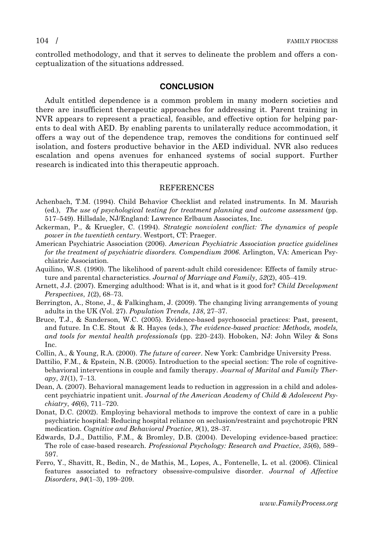controlled methodology, and that it serves to delineate the problem and offers a conceptualization of the situations addressed.

# **CONCLUSION**

Adult entitled dependence is a common problem in many modern societies and there are insufficient therapeutic approaches for addressing it. Parent training in NVR appears to represent a practical, feasible, and effective option for helping parents to deal with AED. By enabling parents to unilaterally reduce accommodation, it offers a way out of the dependence trap, removes the conditions for continued self isolation, and fosters productive behavior in the AED individual. NVR also reduces escalation and opens avenues for enhanced systems of social support. Further research is indicated into this therapeutic approach.

### **REFERENCES**

- Achenbach, T.M. (1994). Child Behavior Checklist and related instruments. In M. Maurish (ed.), The use of psychological testing for treatment planning and outcome assessment (pp. 517–549). Hillsdale, NJ/England: Lawrence Erlbaum Associates, Inc.
- Ackerman, P., & Kruegler, C. (1994). Strategic nonviolent conflict: The dynamics of people power in the twentieth century. Westport, CT: Praeger.
- American Psychiatric Association (2006). American Psychiatric Association practice guidelines for the treatment of psychiatric disorders. Compendium 2006. Arlington, VA: American Psychiatric Association.
- Aquilino, W.S. (1990). The likelihood of parent-adult child coresidence: Effects of family structure and parental characteristics. Journal of Marriage and Family, 52(2), 405-419.
- Arnett, J.J. (2007). Emerging adulthood: What is it, and what is it good for? Child Development Perspectives, 1(2), 68–73.
- Berrington, A., Stone, J., & Falkingham, J. (2009). The changing living arrangements of young adults in the UK (Vol. 27). Population Trends, 138, 27–37.
- Bruce, T.J., & Sanderson, W.C. (2005). Evidence-based psychosocial practices: Past, present, and future. In C.E. Stout & R. Hayes (eds.), The evidence-based practice: Methods, models, and tools for mental health professionals (pp. 220–243). Hoboken, NJ: John Wiley & Sons Inc.
- Collin, A., & Young, R.A. (2000). The future of career. New York: Cambridge University Press.
- Dattilio, F.M., & Epstein, N.B. (2005). Introduction to the special section: The role of cognitivebehavioral interventions in couple and family therapy. Journal of Marital and Family Therapy, 31(1), 7–13.
- Dean, A. (2007). Behavioral management leads to reduction in aggression in a child and adolescent psychiatric inpatient unit. Journal of the American Academy of Child & Adolescent Psychiatry, 46(6), 711–720.
- Donat, D.C. (2002). Employing behavioral methods to improve the context of care in a public psychiatric hospital: Reducing hospital reliance on seclusion/restraint and psychotropic PRN medication. Cognitive and Behavioral Practice, 9(1), 28–37.
- Edwards, D.J., Dattilio, F.M., & Bromley, D.B. (2004). Developing evidence-based practice: The role of case-based research. Professional Psychology: Research and Practice, 35(6), 589– 597.
- Ferro, Y., Shavitt, R., Bedin, N., de Mathis, M., Lopes, A., Fontenelle, L. et al. (2006). Clinical features associated to refractory obsessive-compulsive disorder. Journal of Affective Disorders, 94(1–3), 199–209.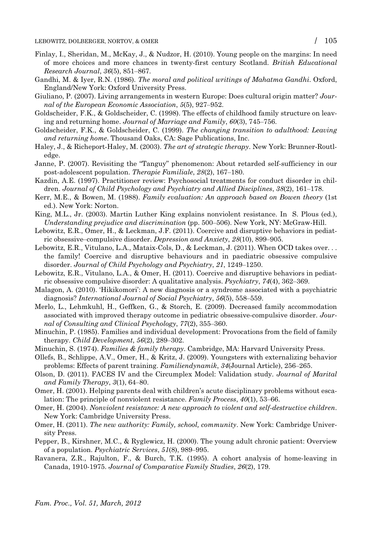- Finlay, I., Sheridan, M., McKay, J., & Nudzor, H. (2010). Young people on the margins: In need of more choices and more chances in twenty-first century Scotland. British Educational Research Journal, 36(5), 851–867.
- Gandhi, M. & Iyer, R.N. (1986). The moral and political writings of Mahatma Gandhi. Oxford, England/New York: Oxford University Press.
- Giuliano, P. (2007). Living arrangements in western Europe: Does cultural origin matter? Journal of the European Economic Association, 5(5), 927–952.
- Goldscheider, F.K., & Goldscheider, C. (1998). The effects of childhood family structure on leaving and returning home. Journal of Marriage and Family, 60(3), 745–756.
- Goldscheider, F.K., & Goldscheider, C. (1999). The changing transition to adulthood: Leaving and returning home. Thousand Oaks, CA: Sage Publications, Inc.
- Haley, J., & Richeport-Haley, M. (2003). The art of strategic therapy. New York: Brunner-Routledge.
- Janne, P. (2007). Revisiting the "Tanguy" phenomenon: About retarded self-sufficiency in our post-adolescent population. Therapie Familiale, 28(2), 167–180.
- Kazdin, A.E. (1997). Practitioner review: Psychosocial treatments for conduct disorder in children. Journal of Child Psychology and Psychiatry and Allied Disciplines, 38(2), 161–178.
- Kerr, M.E., & Bowen, M. (1988). Family evaluation: An approach based on Bowen theory (1st ed.). New York: Norton.
- King, M.L., Jr. (2003). Martin Luther King explains nonviolent resistance. In S. Plous (ed.), Understanding prejudice and discrimination (pp. 500–506). New York, NY: McGraw-Hill.
- Lebowitz, E.R., Omer, H., & Leckman, J.F. (2011). Coercive and disruptive behaviors in pediatric obsessive–compulsive disorder. Depression and Anxiety, 28(10), 899–905.
- Lebowitz, E.R., Vitulano, L.A., Mataix-Cols, D., & Leckman, J. (2011). When OCD takes over. . . the family! Coercive and disruptive behaviours and in paediatric obsessive compulsive disorder. Journal of Child Psychology and Psychiatry, 21, 1249–1250.
- Lebowitz, E.R., Vitulano, L.A., & Omer, H. (2011). Coercive and disruptive behaviors in pediatric obsessive compulsive disorder: A qualitative analysis. Psychiatry, 74(4), 362–369.
- Malagon, A. (2010). 'Hikikomori': A new diagnosis or a syndrome associated with a psychiatric diagnosis? International Journal of Social Psychiatry, 56(5), 558-559.
- Merlo, L., Lehmkuhl, H., Geffken, G., & Storch, E. (2009). Decreased family accommodation associated with improved therapy outcome in pediatric obsessive-compulsive disorder. Journal of Consulting and Clinical Psychology, 77(2), 355–360.
- Minuchin, P. (1985). Families and individual development: Provocations from the field of family therapy. Child Development, 56(2), 289–302.
- Minuchin, S. (1974). Families & family therapy. Cambridge, MA: Harvard University Press.
- Ollefs, B., Schlippe, A.V., Omer, H., & Kritz, J. (2009). Youngsters with externalizing behavior problems: Effects of parent training. Familiendynamik, 34(Journal Article), 256–265.
- Olson, D. (2011). FACES IV and the Circumplex Model: Validation study. Journal of Marital and Family Therapy, 3(1), 64–80.
- Omer, H. (2001). Helping parents deal with children's acute disciplinary problems without escalation: The principle of nonviolent resistance. Family Process, 40(1), 53–66.
- Omer, H. (2004). Nonviolent resistance: A new approach to violent and self-destructive children. New York: Cambridge University Press.
- Omer, H. (2011). The new authority: Family, school, community. New York: Cambridge University Press.
- Pepper, B., Kirshner, M.C., & Ryglewicz, H. (2000). The young adult chronic patient: Overview of a population. Psychiatric Services, 51(8), 989–995.
- Ravanera, Z.R., Rajulton, F., & Burch, T.K. (1995). A cohort analysis of home-leaving in Canada, 1910-1975. Journal of Comparative Family Studies, 26(2), 179.